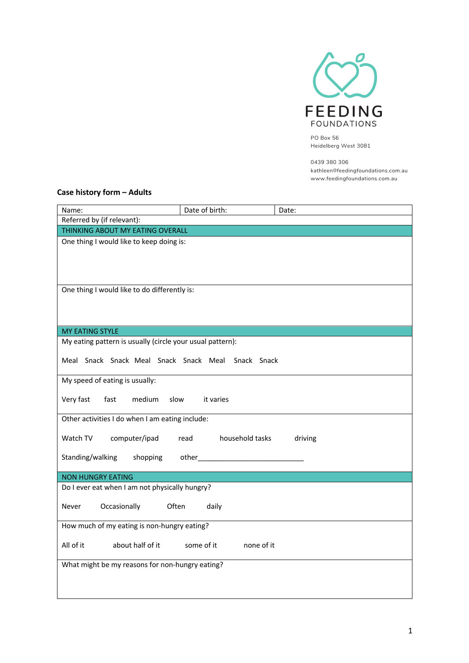

PO Box 56 Heidelberg West 3081

0439 380 306 kathleen@feedingfoundations.com.au www.feedingfoundations.com.au

## **Case history form – Adults**

| Name:                                                     | Date of birth:                                                                                                                                                                                                                  | Date:   |  |  |
|-----------------------------------------------------------|---------------------------------------------------------------------------------------------------------------------------------------------------------------------------------------------------------------------------------|---------|--|--|
| Referred by (if relevant):                                |                                                                                                                                                                                                                                 |         |  |  |
| THINKING ABOUT MY EATING OVERALL                          |                                                                                                                                                                                                                                 |         |  |  |
| One thing I would like to keep doing is:                  |                                                                                                                                                                                                                                 |         |  |  |
|                                                           |                                                                                                                                                                                                                                 |         |  |  |
|                                                           |                                                                                                                                                                                                                                 |         |  |  |
|                                                           |                                                                                                                                                                                                                                 |         |  |  |
| One thing I would like to do differently is:              |                                                                                                                                                                                                                                 |         |  |  |
|                                                           |                                                                                                                                                                                                                                 |         |  |  |
|                                                           |                                                                                                                                                                                                                                 |         |  |  |
| <b>MY EATING STYLE</b>                                    |                                                                                                                                                                                                                                 |         |  |  |
| My eating pattern is usually (circle your usual pattern): |                                                                                                                                                                                                                                 |         |  |  |
| Meal Snack Snack Meal Snack Snack Meal Snack Snack        |                                                                                                                                                                                                                                 |         |  |  |
|                                                           |                                                                                                                                                                                                                                 |         |  |  |
| My speed of eating is usually:                            |                                                                                                                                                                                                                                 |         |  |  |
|                                                           |                                                                                                                                                                                                                                 |         |  |  |
| Very fast<br>fast<br>medium<br>slow                       | it varies                                                                                                                                                                                                                       |         |  |  |
| Other activities I do when I am eating include:           |                                                                                                                                                                                                                                 |         |  |  |
|                                                           |                                                                                                                                                                                                                                 |         |  |  |
| Watch TV<br>computer/ipad                                 | read<br>household tasks                                                                                                                                                                                                         | driving |  |  |
| Standing/walking<br>shopping                              | other and a state of the state of the state of the state of the state of the state of the state of the state of the state of the state of the state of the state of the state of the state of the state of the state of the sta |         |  |  |
|                                                           |                                                                                                                                                                                                                                 |         |  |  |
| <b>NON HUNGRY EATING</b>                                  |                                                                                                                                                                                                                                 |         |  |  |
| Do I ever eat when I am not physically hungry?            |                                                                                                                                                                                                                                 |         |  |  |
| Occasionally<br>Often<br>Never                            | daily                                                                                                                                                                                                                           |         |  |  |
|                                                           |                                                                                                                                                                                                                                 |         |  |  |
| How much of my eating is non-hungry eating?               |                                                                                                                                                                                                                                 |         |  |  |
|                                                           |                                                                                                                                                                                                                                 |         |  |  |
| All of it<br>about half of it<br>none of it<br>some of it |                                                                                                                                                                                                                                 |         |  |  |
| What might be my reasons for non-hungry eating?           |                                                                                                                                                                                                                                 |         |  |  |
|                                                           |                                                                                                                                                                                                                                 |         |  |  |
|                                                           |                                                                                                                                                                                                                                 |         |  |  |
|                                                           |                                                                                                                                                                                                                                 |         |  |  |